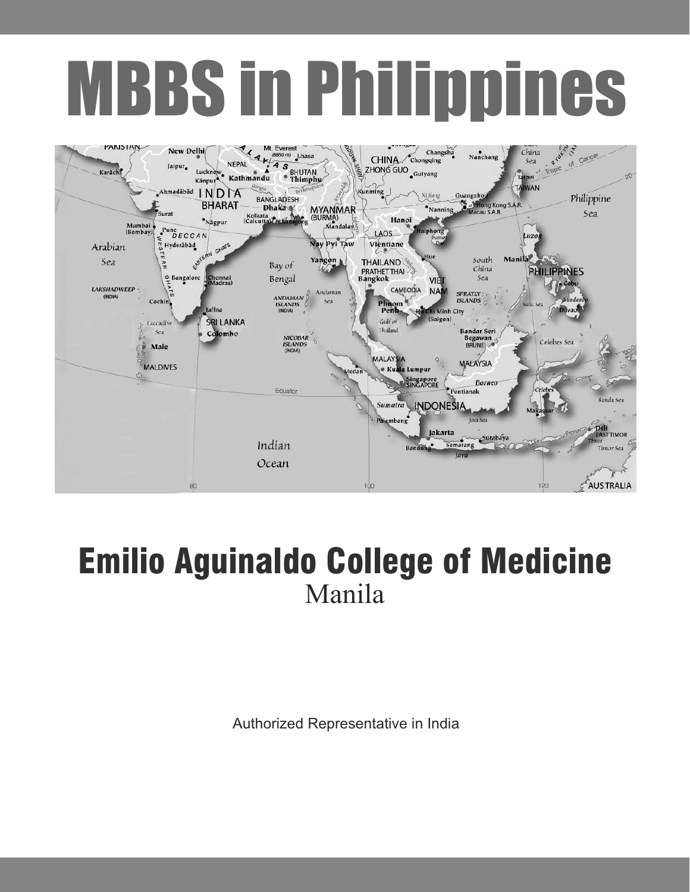# MBBS in Philippines



### Emilio Aguinaldo College of Medicine Manila

Authorized Representative in India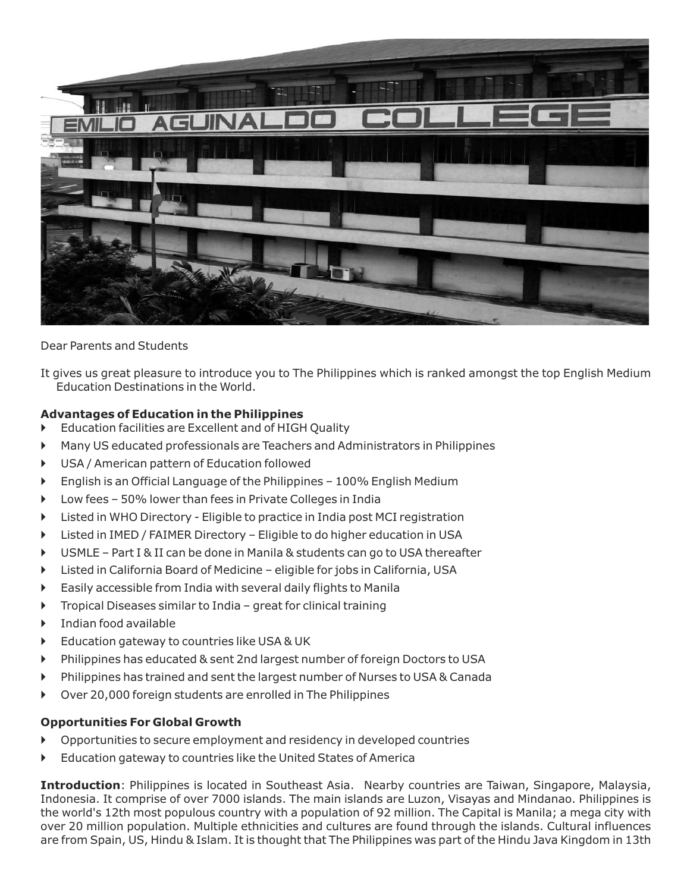

Dear Parents and Students

It gives us great pleasure to introduce you to The Philippines which is ranked amongst the top English Medium Education Destinations in the World.

### **Advantages of Education in the Philippines**

- Education facilities are Excellent and of HIGH Quality  $\blacktriangleright$
- Many US educated professionals are Teachers and Administrators in Philippines  $\blacktriangleright$
- USA / American pattern of Education followed  $\blacktriangleright$
- English is an Official Language of the Philippines 100% English Medium  $\blacktriangleright$
- Low fees 50% lower than fees in Private Colleges in India  $\blacktriangleright$
- Listed in WHO Directory Eligible to practice in India post MCI registration  $\blacktriangleright$
- Listed in IMED / FAIMER Directory Eligible to do higher education in USA  $\blacktriangleright$
- USMLE Part I & II can be done in Manila & students can go to USA thereafter  $\blacktriangleright$
- Listed in California Board of Medicine eligible for jobs in California, USA  $\blacktriangleright$
- Easily accessible from India with several daily flights to Manila  $\blacktriangleright$
- Tropical Diseases similar to India great for clinical training  $\blacktriangleright$
- Indian food available  $\ddot{\phantom{1}}$
- Education gateway to countries like USA & UK  $\blacktriangleright$
- Philippines has educated & sent 2nd largest number of foreign Doctors to USA  $\blacktriangleright$
- Philippines has trained and sent the largest number of Nurses to USA & Canada  $\blacktriangleright$
- Over 20,000 foreign students are enrolled in The Philippines -

### **Opportunities For Global Growth**

- Opportunities to secure employment and residency in developed countries  $\blacktriangleright$
- Education gateway to countries like the United States of America  $\blacktriangleright$

**Introduction**: Philippines is located in Southeast Asia. Nearby countries are Taiwan, Singapore, Malaysia, Indonesia. It comprise of over 7000 islands. The main islands are Luzon, Visayas and Mindanao. Philippines is the world's 12th most populous country with a population of 92 million. The Capital is Manila; a mega city with over 20 million population. Multiple ethnicities and cultures are found through the islands. Cultural influences are from Spain, US, Hindu & Islam. It is thought that The Philippines was part of the Hindu Java Kingdom in 13th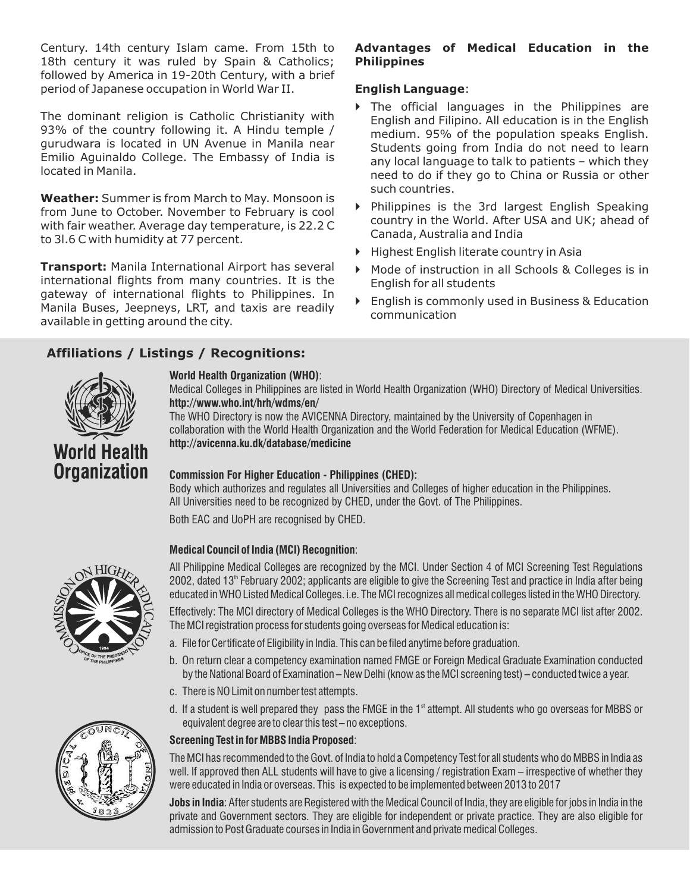Century. 14th century Islam came. From 15th to 18th century it was ruled by Spain & Catholics; followed by America in 19-20th Century, with a brief period of Japanese occupation in World War II.

The dominant religion is Catholic Christianity with 93% of the country following it. A Hindu temple / gurudwara is located in UN Avenue in Manila near Emilio Aguinaldo College. The Embassy of India is located in Manila.

**Weather:** Summer is from March to May. Monsoon is from June to October. November to February is cool with fair weather. Average day temperature, is 22.2 C to 3l.6 C with humidity at 77 percent.

**Transport:** Manila International Airport has several international flights from many countries. It is the gateway of international flights to Philippines. In Manila Buses, Jeepneys, LRT, and taxis are readily available in getting around the city.

### **Affiliations / Listings / Recognitions:**

## **World Health Organization**

### **World Health Organization (WHO)** :

**http://www.who.int/hrh/wdms/en/** Medical Colleges in Philippines are listed in World Health Organization (WHO) Directory of Medical Universities.

The WHO Directory is now the AVICENNA Directory, maintained by the University of Copenhagen in collaboration with the World Health Organization and the World Federation for Medical Education (WFME). **http://avicenna.ku.dk/database/medicine**

### **Commission For Higher Education - Philippines (CHED):**

Body which authorizes and regulates all Universities and Colleges of higher education in the Philippines. All Universities need to be recognized by CHED, under the Govt. of The Philippines.

Both EAC and UoPH are recognised by CHED.

### **Medical Council of India (MCI) Recognition** :

All Philippine Medical Colleges are recognized by the MCI. Under Section 4 of MCI Screening Test Regulations 2002, dated 13<sup>th</sup> February 2002; applicants are eligible to give the Screening Test and practice in India after being educated in WHO Listed Medical Colleges. i.e. The MCI recognizes all medical colleges listed in the WHO Directory.

Effectively: The MCI directory of Medical Colleges is the WHO Directory. There is no separate MCI list after 2002. The MCI registration process for students going overseas for Medical education is:

- a. File for Certificate of Eligibility in India. This can be filed anytime before graduation.
- b. On return clear a competency examination named FMGE or Foreign Medical Graduate Examination conducted by the National Board of Examination – New Delhi (know as the MCI screening test) – conducted twice a year.
- c. There is NO Limit on number test attempts.
- d. If a student is well prepared they  $\,$  pass the FMGE in the 1 $^{\rm st}$  attempt. All students who go overseas for MBBS or equivalent degree are to clear this test – no exceptions.

### **Screening Test in for MBBS India Proposed** :

The MCI has recommended to the Govt. of India to hold a Competency Test for all students who do MBBS in India as well. If approved then ALL students will have to give a licensing / registration Exam – irrespective of whether they were educated in India or overseas. This is expected to be implemented between 2013 to 2017

**Jobs in India** : After students are Registered with the Medical Council of India, they are eligible for jobs in India in the private and Government sectors. They are eligible for independent or private practice. They are also eligible for admission to Post Graduate courses in India in Government and private medical Colleges.



### **Advantages of Medical Education in the Philippines**

### **English Language**:

- The official languages in the Philippines are English and Filipino. All education is in the English medium. 95% of the population speaks English. Students going from India do not need to learn any local language to talk to patients – which they need to do if they go to China or Russia or other such countries.
- Philippines is the 3rd largest English Speaking country in the World. After USA and UK; ahead of Canada, Australia and India
- Highest English literate country in Asia
- Mode of instruction in all Schools & Colleges is in English for all students
- **Finglish is commonly used in Business & Education** communication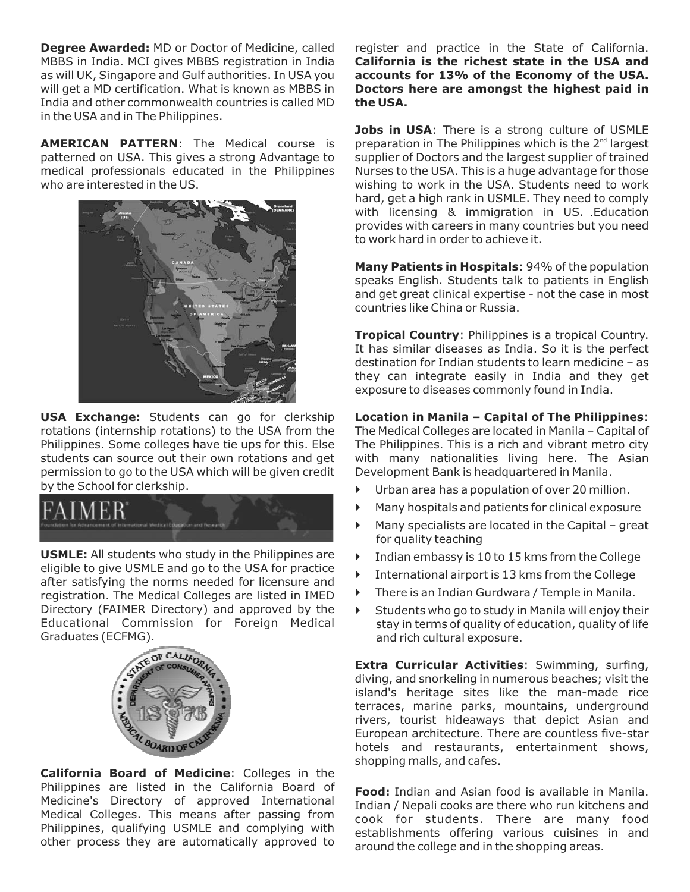**Degree Awarded:** MD or Doctor of Medicine, called MBBS in India. MCI gives MBBS registration in India as will UK, Singapore and Gulf authorities. In USA you will get a MD certification. What is known as MBBS in India and other commonwealth countries is called MD in the USA and in The Philippines.

**AMERICAN PATTERN** : The Medical course is patterned on USA. This gives a strong Advantage to medical professionals educated in the Philippines who are interested in the US.



**USA Exchange:** Students can go for clerkship rotations (internship rotations) to the USA from the Philippines. Some colleges have tie ups for this. Else students can source out their own rotations and get permission to go to the USA which will be given credit by the School for clerkship.



**USMLE:** All students who study in the Philippines are eligible to give USMLE and go to the USA for practice after satisfying the norms needed for licensure and registration. The Medical Colleges are listed in IMED Directory (FAIMER Directory) and approved by the Educational Commission for Foreign Medical Graduates (ECFMG).



**California Board of Medicine** : Colleges in the Philippines are listed in the California Board of Medicine's Directory of approved International Medical Colleges. This means after passing from Philippines, qualifying USMLE and complying with other process they are automatically approved to register and practice in the State of California. **California is the richest state in the USA and accounts for 13% of the Economy of the USA. Doctors here are amongst the highest paid in the USA.**

**Jobs in USA**: There is a strong culture of USMLE preparation in The Philippines which is the  $2<sup>nd</sup>$  largest supplier of Doctors and the largest supplier of trained Nurses to the USA. This is a huge advantage for those wishing to work in the USA. Students need to work hard, get a high rank in USMLE. They need to comply with licensing & immigration in US. Education provides with careers in many countries but you need to work hard in order to achieve it.

**Many Patients in Hospitals: 94% of the population** speaks English. Students talk to patients in English and get great clinical expertise - not the case in most countries like China or Russia.

**Tropical Country: Philippines is a tropical Country.** It has similar diseases as India. So it is the perfect destination for Indian students to learn medicine – as they can integrate easily in India and they get exposure to diseases commonly found in India.

: **Location in Manila – Capital of The Philippines** The Medical Colleges are located in Manila – Capital of The Philippines. This is a rich and vibrant metro city with many nationalities living here. The Asian Development Bank is headquartered in Manila.

- Urban area has a population of over 20 million.  $\blacktriangleright$
- Many hospitals and patients for clinical exposure  $\blacktriangleright$
- Many specialists are located in the Capital great for quality teaching  $\blacktriangleright$
- Indian embassy is 10 to 15 kms from the College  $\blacktriangleright$
- International airport is 13 kms from the College  $\blacktriangleright$
- There is an Indian Gurdwara / Temple in Manila. -
- Students who go to study in Manila will enjoy their stay in terms of quality of education, quality of life and rich cultural exposure.  $\blacktriangleright$

**Extra Curricular Activities** : Swimming, surfing, diving, and snorkeling in numerous beaches; visit the island's heritage sites like the man-made rice terraces, marine parks, mountains, underground rivers, tourist hideaways that depict Asian and European architecture. There are countless five-star hotels and restaurants, entertainment shows, shopping malls, and cafes.

**Food:** Indian and Asian food is available in Manila. Indian / Nepali cooks are there who run kitchens and cook for students. There are many food establishments offering various cuisines in and around the college and in the shopping areas.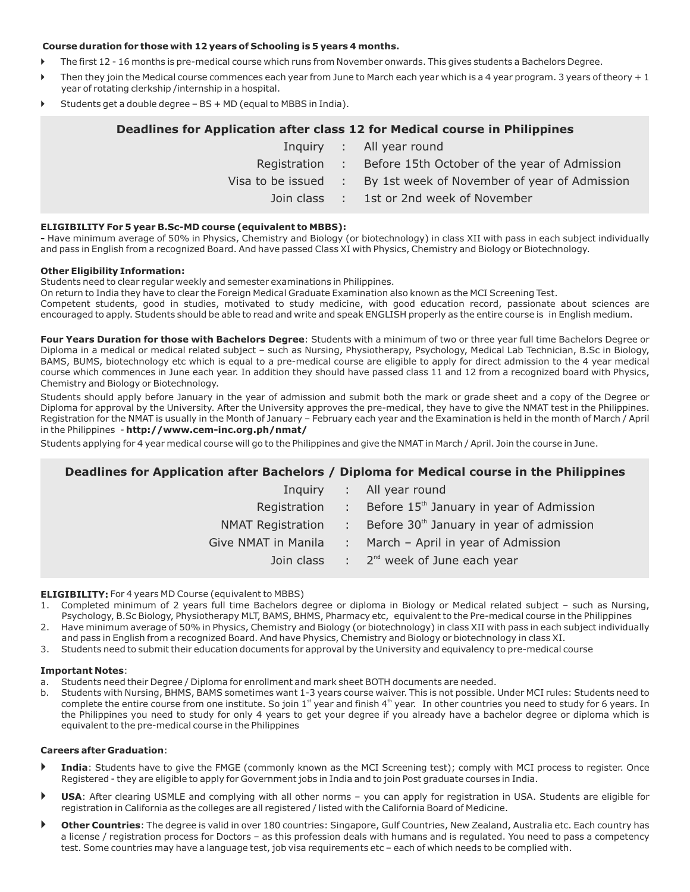#### **Course duration for those with 12 years of Schooling is 5 years 4 months.**

- The first 12 16 months is pre-medical course which runs from November onwards. This gives students a Bachelors Degree. -
- Then they join the Medical course commences each year from June to March each year which is a 4 year program. 3 years of theory  $+1$ year of rotating clerkship /internship in a hospital. -
- Students get a double degree BS + MD (equal to MBBS in India). -

### **Deadlines for Application after class 12 for Medical course in Philippines** Inquiry : All year round Registration : Before 15th October of the year of Admission Visa to be issued : By 1st week of November of year of Admission Join class : 1st or 2nd week of November

### **ELIGIBILITY For 5 year B.Sc-MD course (equivalent to MBBS):**

**-** Have minimum average of 50% in Physics, Chemistry and Biology (or biotechnology) in class XII with pass in each subject individually and pass in English from a recognized Board. And have passed Class XI with Physics, Chemistry and Biology or Biotechnology.

#### **Other Eligibility Information:**

Students need to clear regular weekly and semester examinations in Philippines.

On return to India they have to clear the Foreign Medical Graduate Examination also known as the MCI Screening Test.

Competent students, good in studies, motivated to study medicine, with good education record, passionate about sciences are encouraged to apply. Students should be able to read and write and speak ENGLISH properly as the entire course is in English medium.

**Four Years Duration for those with Bachelors Degree**: Students with a minimum of two or three year full time Bachelors Degree or Diploma in a medical or medical related subject – such as Nursing, Physiotherapy, Psychology, Medical Lab Technician, B.Sc in Biology, BAMS, BUMS, biotechnology etc which is equal to a pre-medical course are eligible to apply for direct admission to the 4 year medical course which commences in June each year. In addition they should have passed class 11 and 12 from a recognized board with Physics, Chemistry and Biology or Biotechnology.

in the Philippines **- http://www.cem-inc.org.ph/nmat/** Students should apply before January in the year of admission and submit both the mark or grade sheet and a copy of the Degree or Diploma for approval by the University. After the University approves the pre-medical, they have to give the NMAT test in the Philippines. Registration for the NMAT is usually in the Month of January – February each year and the Examination is held in the month of March / April

Students applying for 4 year medical course will go to the Philippines and give the NMAT in March / April. Join the course in June.

### **Deadlines for Application after Bachelors / Diploma for Medical course in the Philippines**

| Inguiry                  |                            | : All year round                                     |
|--------------------------|----------------------------|------------------------------------------------------|
| Registration             | de la                      | Before 15 <sup>th</sup> January in year of Admission |
| <b>NMAT Registration</b> | $\mathcal{L}^{\text{max}}$ | Before 30 <sup>th</sup> January in year of admission |
| Give NMAT in Manila      | $\mathcal{L}^{\text{max}}$ | March - April in year of Admission                   |
| Join class               |                            | $\therefore$ 2 <sup>nd</sup> week of June each year  |
|                          |                            |                                                      |

#### **ELIGIBILITY:** For 4 years MD Course (equivalent to MBBS)

- 1. Completed minimum of 2 years full time Bachelors degree or diploma in Biology or Medical related subject such as Nursing, Psychology, B.Sc Biology, Physiotherapy MLT, BAMS, BHMS, Pharmacy etc, equivalent to the Pre-medical course in the Philippines
- 2. Have minimum average of 50% in Physics, Chemistry and Biology (or biotechnology) in class XII with pass in each subject individually and pass in English from a recognized Board. And have Physics, Chemistry and Biology or biotechnology in class XI.
- 3. Students need to submit their education documents for approval by the University and equivalency to pre-medical course

#### **Important Notes** :

- a. Students need their Degree / Diploma for enrollment and mark sheet BOTH documents are needed.
- b. Students with Nursing, BHMS, BAMS sometimes want 1-3 years course waiver. This is not possible. Under MCI rules: Students need to complete the entire course from one institute. So join 1<sup>st</sup> year and finish 4<sup>th</sup> year. In other countries you need to study for 6 years. In the Philippines you need to study for only 4 years to get your degree if you already have a bachelor degree or diploma which is equivalent to the pre-medical course in the Philippines

#### **Careers after Graduation** :

- **India** : Students have to give the FMGE (commonly known as the MCI Screening test); comply with MCI process to register. Once Registered - they are eligible to apply for Government jobs in India and to join Post graduate courses in India.  $\blacktriangleright$
- **USA** : After clearing USMLE and complying with all other norms you can apply for registration in USA. Students are eligible for registration in California as the colleges are all registered / listed with the California Board of Medicine.  $\blacktriangleright$
- **Other Countries** : The degree is valid in over 180 countries: Singapore, Gulf Countries, New Zealand, Australia etc. Each country has a license / registration process for Doctors – as this profession deals with humans and is regulated. You need to pass a competency test. Some countries may have a language test, job visa requirements etc – each of which needs to be complied with.  $\blacktriangleright$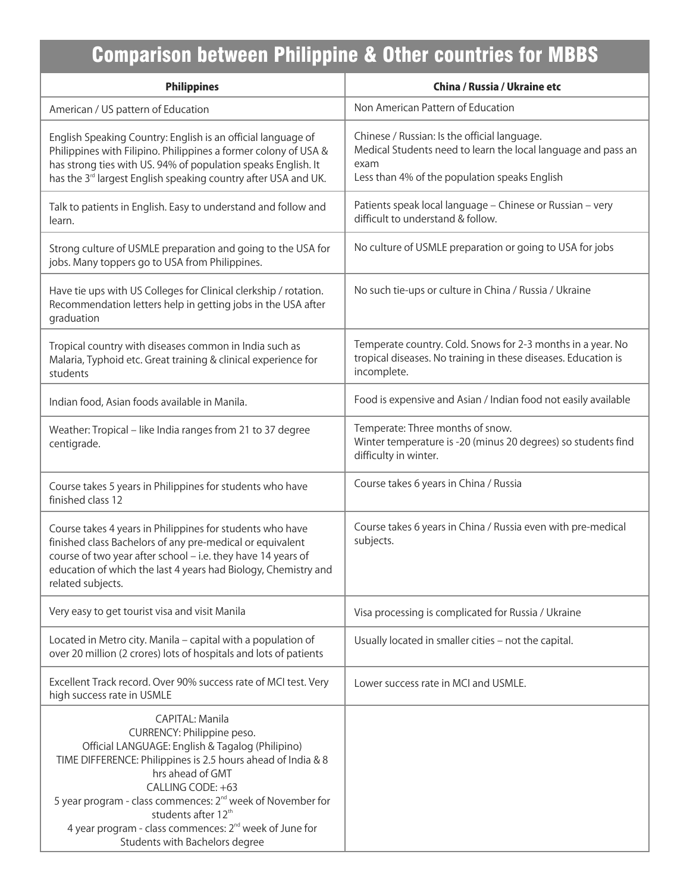### Comparison between Philippine & Other countries for MBBS

| <b>Philippines</b>                                                                                                                                                                                                                                                                                                                                                                                                              | China / Russia / Ukraine etc                                                                                                                                           |
|---------------------------------------------------------------------------------------------------------------------------------------------------------------------------------------------------------------------------------------------------------------------------------------------------------------------------------------------------------------------------------------------------------------------------------|------------------------------------------------------------------------------------------------------------------------------------------------------------------------|
| American / US pattern of Education                                                                                                                                                                                                                                                                                                                                                                                              | Non American Pattern of Education                                                                                                                                      |
| English Speaking Country: English is an official language of<br>Philippines with Filipino. Philippines a former colony of USA &<br>has strong ties with US. 94% of population speaks English. It<br>has the 3 <sup>rd</sup> largest English speaking country after USA and UK.                                                                                                                                                  | Chinese / Russian: Is the official language.<br>Medical Students need to learn the local language and pass an<br>exam<br>Less than 4% of the population speaks English |
| Talk to patients in English. Easy to understand and follow and<br>learn.                                                                                                                                                                                                                                                                                                                                                        | Patients speak local language - Chinese or Russian - very<br>difficult to understand & follow.                                                                         |
| Strong culture of USMLE preparation and going to the USA for<br>jobs. Many toppers go to USA from Philippines.                                                                                                                                                                                                                                                                                                                  | No culture of USMLE preparation or going to USA for jobs                                                                                                               |
| Have tie ups with US Colleges for Clinical clerkship / rotation.<br>Recommendation letters help in getting jobs in the USA after<br>graduation                                                                                                                                                                                                                                                                                  | No such tie-ups or culture in China / Russia / Ukraine                                                                                                                 |
| Tropical country with diseases common in India such as<br>Malaria, Typhoid etc. Great training & clinical experience for<br>students                                                                                                                                                                                                                                                                                            | Temperate country. Cold. Snows for 2-3 months in a year. No<br>tropical diseases. No training in these diseases. Education is<br>incomplete.                           |
| Indian food, Asian foods available in Manila.                                                                                                                                                                                                                                                                                                                                                                                   | Food is expensive and Asian / Indian food not easily available                                                                                                         |
| Weather: Tropical - like India ranges from 21 to 37 degree<br>centigrade.                                                                                                                                                                                                                                                                                                                                                       | Temperate: Three months of snow.<br>Winter temperature is -20 (minus 20 degrees) so students find<br>difficulty in winter.                                             |
| Course takes 5 years in Philippines for students who have<br>finished class 12                                                                                                                                                                                                                                                                                                                                                  | Course takes 6 years in China / Russia                                                                                                                                 |
| Course takes 4 years in Philippines for students who have<br>finished class Bachelors of any pre-medical or equivalent<br>course of two year after school - i.e. they have 14 years of<br>education of which the last 4 years had Biology, Chemistry and<br>related subjects.                                                                                                                                                   | Course takes 6 years in China / Russia even with pre-medical<br>subjects.                                                                                              |
| Very easy to get tourist visa and visit Manila                                                                                                                                                                                                                                                                                                                                                                                  | Visa processing is complicated for Russia / Ukraine                                                                                                                    |
| Located in Metro city. Manila - capital with a population of<br>over 20 million (2 crores) lots of hospitals and lots of patients                                                                                                                                                                                                                                                                                               | Usually located in smaller cities - not the capital.                                                                                                                   |
| Excellent Track record. Over 90% success rate of MCI test. Very<br>high success rate in USMLE                                                                                                                                                                                                                                                                                                                                   | Lower success rate in MCI and USMLE.                                                                                                                                   |
| CAPITAL: Manila<br>CURRENCY: Philippine peso.<br>Official LANGUAGE: English & Tagalog (Philipino)<br>TIME DIFFERENCE: Philippines is 2.5 hours ahead of India & 8<br>hrs ahead of GMT<br>CALLING CODE: +63<br>5 year program - class commences: 2 <sup>nd</sup> week of November for<br>students after 12 <sup>th</sup><br>4 year program - class commences: 2 <sup>nd</sup> week of June for<br>Students with Bachelors degree |                                                                                                                                                                        |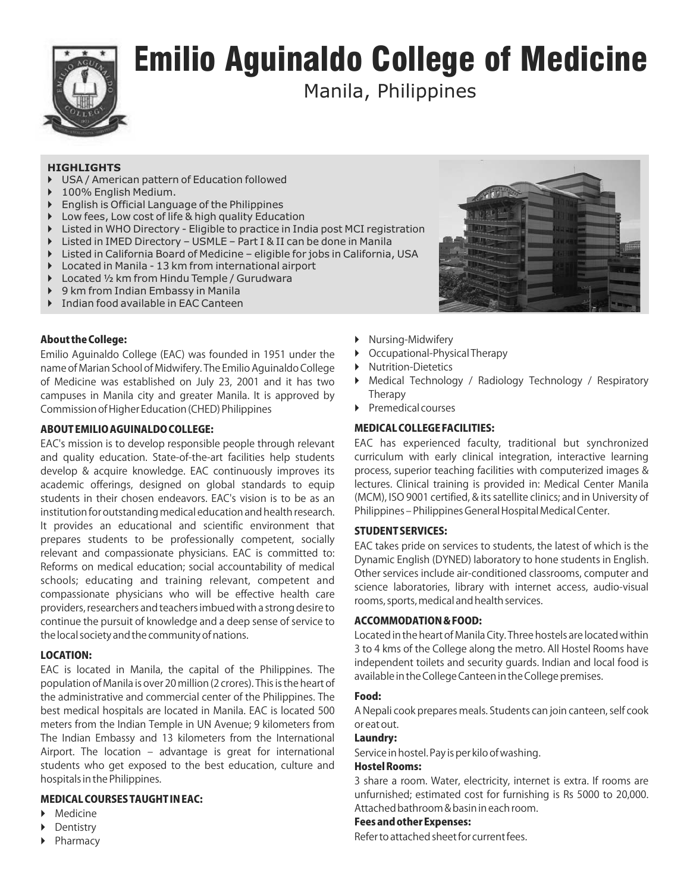

### Emilio Aguinaldo College of Medicine

Manila, Philippines

### **HIGHLIGHTS**

- $\blacktriangleright$ USA / American pattern of Education followed
- $\blacktriangleright$ 100% English Medium.
- $\blacktriangleright$ English is Official Language of the Philippines
- $\blacktriangleright$ Low fees, Low cost of life & high quality Education
- **Example 1** Listed in WHO Directory Eligible to practice in India post MCI registration
- $\blacktriangleright$ Listed in IMED Directory – USMLE – Part I & II can be done in Manila
- Listed in California Board of Medicine eligible for jobs in California, USA
- $\blacktriangleright$ Located in Manila - 13 km from international airport
- $\blacktriangleright$ Located ½ km from Hindu Temple / Gurudwara
- $\blacktriangleright$ 9 km from Indian Embassy in Manila
- $\blacktriangleright$ Indian food available in EAC Canteen

### About the College:

Emilio Aguinaldo College (EAC) was founded in 1951 under the name of Marian School of Midwifery. The Emilio Aguinaldo College of Medicine was established on July 23, 2001 and it has two campuses in Manila city and greater Manila. It is approved by Commission of Higher Education (CHED) Philippines

### ABOUT EMILIO AGUINALDO COLLEGE:

EAC's mission is to develop responsible people through relevant and quality education. State-of-the-art facilities help students develop & acquire knowledge. EAC continuously improves its academic offerings, designed on global standards to equip students in their chosen endeavors. EAC's vision is to be as an institution for outstanding medical education and health research. It provides an educational and scientific environment that prepares students to be professionally competent, socially relevant and compassionate physicians. EAC is committed to: Reforms on medical education; social accountability of medical schools; educating and training relevant, competent and compassionate physicians who will be effective health care providers, researchers and teachers imbued with a strong desire to continue the pursuit of knowledge and a deep sense of service to the local society and the community of nations.

### LOCATION:

EAC is located in Manila, the capital of the Philippines. The population of Manila is over 20 million (2 crores). This is the heart of the administrative and commercial center of the Philippines. The best medical hospitals are located in Manila. EAC is located 500 meters from the Indian Temple in UN Avenue; 9 kilometers from The Indian Embassy and 13 kilometers from the International Airport. The location – advantage is great for international students who get exposed to the best education, culture and hospitals in the Philippines.

### MEDICAL COURSES TAUGHT IN EAC:

- Medicine  $\blacktriangleright$
- Dentistry  $\blacktriangleright$
- Pharmacy  $\blacktriangleright$



- Nursing-Midwifery
- $\blacktriangleright$ Occupational-Physical Therapy
- $\blacktriangleright$ Nutrition-Dietetics
- $\blacktriangleright$ Medical Technology / Radiology Technology / Respiratory Therapy
- Premedical courses

### MEDICAL COLLEGE FACILITIES:

EAC has experienced faculty, traditional but synchronized curriculum with early clinical integration, interactive learning process, superior teaching facilities with computerized images & lectures. Clinical training is provided in: Medical Center Manila (MCM), ISO 9001 certified, & its satellite clinics; and in University of Philippines – Philippines General Hospital Medical Center.

### STUDENT SERVICES:

EAC takes pride on services to students, the latest of which is the Dynamic English (DYNED) laboratory to hone students in English. Other services include air-conditioned classrooms, computer and science laboratories, library with internet access, audio-visual rooms, sports, medical and health services.

### ACCOMMODATION & FOOD:

Located in the heart of Manila City. Three hostels are located within 3 to 4 kms of the College along the metro. All Hostel Rooms have independent toilets and security guards. Indian and local food is available in the College Canteen in the College premises.

### Food:

A Nepali cook prepares meals. Students can join canteen, self cook or eat out.

### Laundry:

Service in hostel. Pay is per kilo of washing.

### Hostel Rooms:

3 share a room. Water, electricity, internet is extra. If rooms are unfurnished; estimated cost for furnishing is Rs 5000 to 20,000. Attached bathroom & basin in each room.

### Fees and other Expenses:

Refer to attached sheet for current fees.